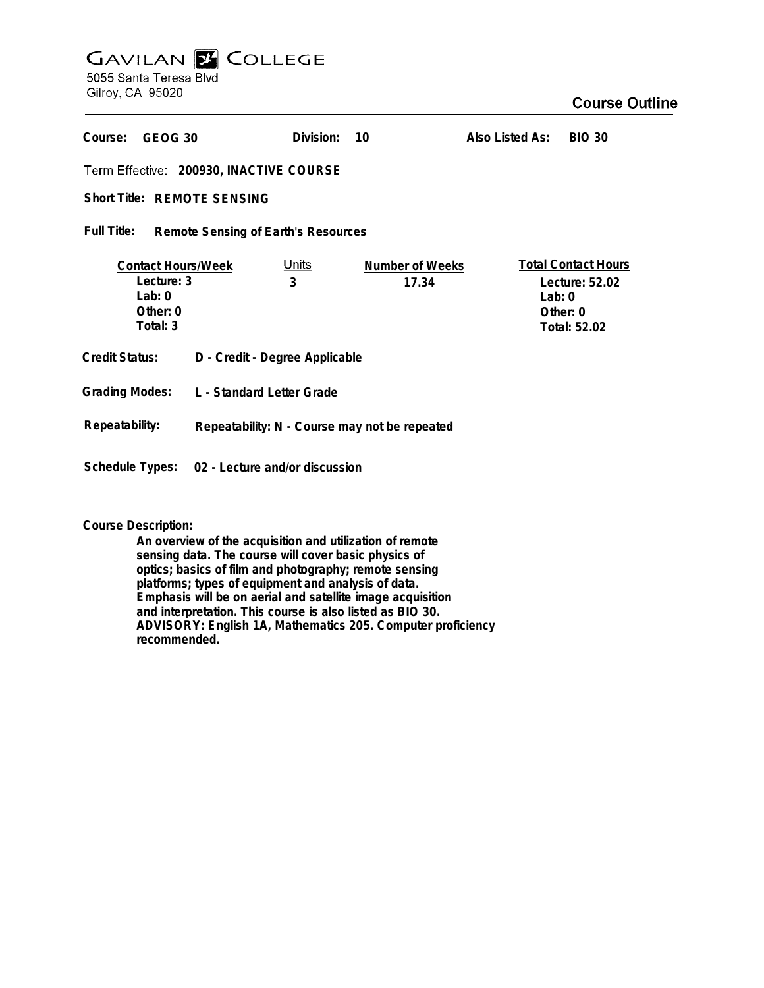## **GAVILAN Z COLLEGE** 5055 Santa Teresa Blvd

Gilroy, CA 95020

## **Course Outline**

| Course:<br>GEOG 30                                                          |                                                | Division:         | 10                              | Also Listed As: | <b>BIO 30</b>                                                            |
|-----------------------------------------------------------------------------|------------------------------------------------|-------------------|---------------------------------|-----------------|--------------------------------------------------------------------------|
| Term Effective: 200930, INACTIVE COURSE                                     |                                                |                   |                                 |                 |                                                                          |
| Short Title: REMOTE SENSING                                                 |                                                |                   |                                 |                 |                                                                          |
| Full Title:<br>Remote Sensing of Earth's Resources                          |                                                |                   |                                 |                 |                                                                          |
| <b>Contact Hours/Week</b><br>Lecture: 3<br>Lab: $0$<br>Other: 0<br>Total: 3 |                                                | <u>Units</u><br>3 | <b>Number of Weeks</b><br>17.34 | Lab: $0$        | <b>Total Contact Hours</b><br>Lecture: 52.02<br>Other: 0<br>Total: 52.02 |
| <b>Credit Status:</b>                                                       | D - Credit - Degree Applicable                 |                   |                                 |                 |                                                                          |
| <b>Grading Modes:</b>                                                       | L - Standard Letter Grade                      |                   |                                 |                 |                                                                          |
| Repeatability:                                                              | Repeatability: N - Course may not be repeated  |                   |                                 |                 |                                                                          |
|                                                                             | Schedule Types: 02 - Lecture and/or discussion |                   |                                 |                 |                                                                          |

**Course Description:**

**An overview of the acquisition and utilization of remote sensing data. The course will cover basic physics of optics; basics of film and photography; remote sensing platforms; types of equipment and analysis of data. Emphasis will be on aerial and satellite image acquisition and interpretation. This course is also listed as BIO 30. ADVISORY: English 1A, Mathematics 205. Computer proficiency recommended.**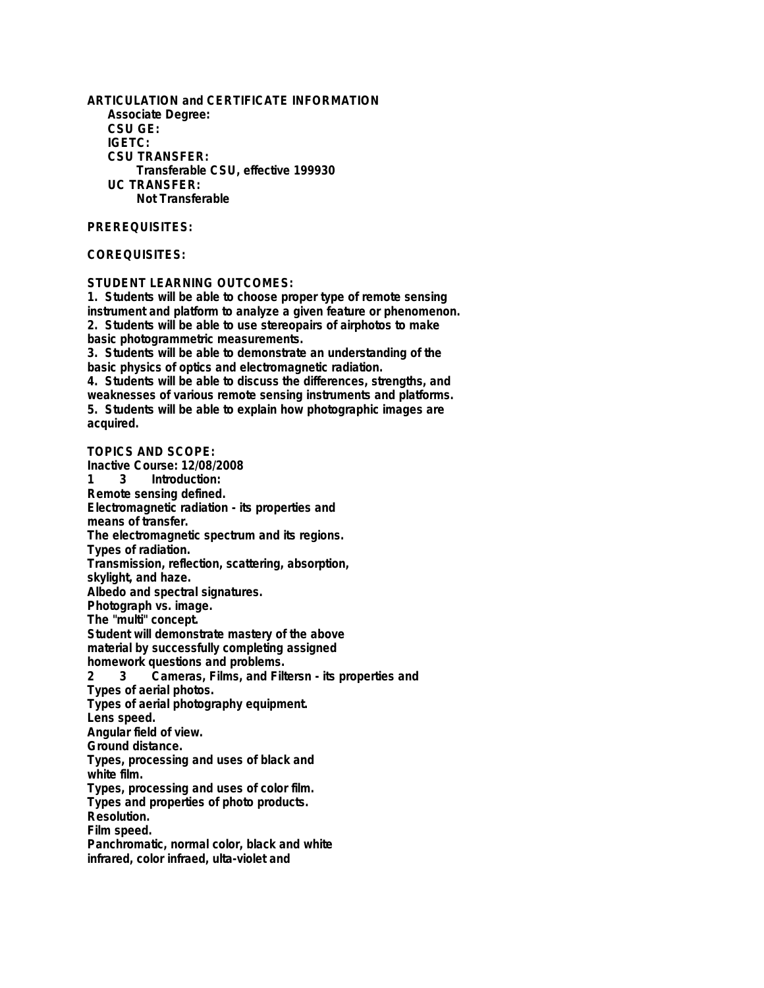**ARTICULATION and CERTIFICATE INFORMATION Associate Degree: CSU GE: IGETC: CSU TRANSFER: Transferable CSU, effective 199930 UC TRANSFER: Not Transferable**

## **PREREQUISITES:**

## **COREQUISITES:**

**STUDENT LEARNING OUTCOMES:**

**1. Students will be able to choose proper type of remote sensing instrument and platform to analyze a given feature or phenomenon. 2. Students will be able to use stereopairs of airphotos to make basic photogrammetric measurements.**

**3. Students will be able to demonstrate an understanding of the basic physics of optics and electromagnetic radiation.**

**4. Students will be able to discuss the differences, strengths, and weaknesses of various remote sensing instruments and platforms. 5. Students will be able to explain how photographic images are acquired.**

**TOPICS AND SCOPE: Inactive Course: 12/08/2008 Introduction: Remote sensing defined. Electromagnetic radiation - its properties and means of transfer. The electromagnetic spectrum and its regions. Types of radiation. Transmission, reflection, scattering, absorption, skylight, and haze. Albedo and spectral signatures. Photograph vs. image. The "multi" concept. Student will demonstrate mastery of the above material by successfully completing assigned homework questions and problems. 2 3 Cameras, Films, and Filtersn - its properties and Types of aerial photos. Types of aerial photography equipment. Lens speed. Angular field of view. Ground distance. Types, processing and uses of black and white film. Types, processing and uses of color film. Types and properties of photo products. Resolution. Film speed. Panchromatic, normal color, black and white infrared, color infraed, ulta-violet and**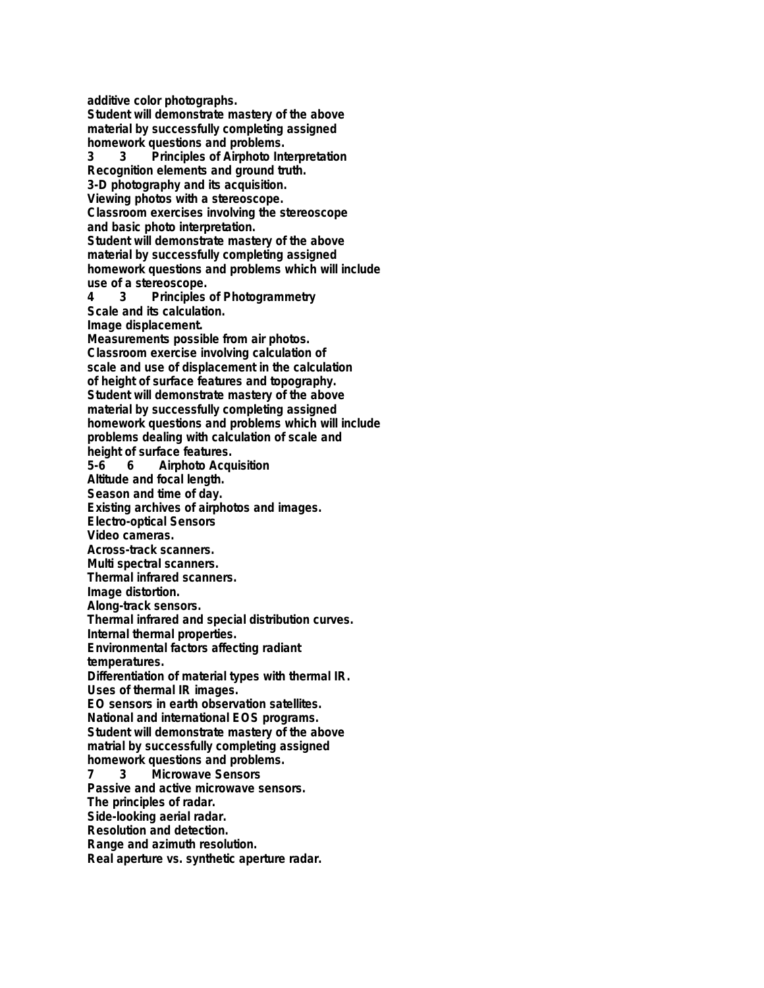**additive color photographs.**

**Student will demonstrate mastery of the above material by successfully completing assigned**

**homework questions and problems.**<br>3 3 Principles of Airphoto Inf **3 3 Principles of Airphoto Interpretation Recognition elements and ground truth. 3-D photography and its acquisition. Viewing photos with a stereoscope. Classroom exercises involving the stereoscope and basic photo interpretation. Student will demonstrate mastery of the above material by successfully completing assigned homework questions and problems which will include use of a stereoscope. 4 3 Principles of Photogrammetry Scale and its calculation. Image displacement. Measurements possible from air photos. Classroom exercise involving calculation of scale and use of displacement in the calculation of height of surface features and topography. Student will demonstrate mastery of the above material by successfully completing assigned homework questions and problems which will include problems dealing with calculation of scale and height of surface features. 5-6 6 Airphoto Acquisition Altitude and focal length. Season and time of day. Existing archives of airphotos and images. Electro-optical Sensors Video cameras. Across-track scanners. Multi spectral scanners. Thermal infrared scanners. Image distortion. Along-track sensors. Thermal infrared and special distribution curves. Internal thermal properties. Environmental factors affecting radiant temperatures. Differentiation of material types with thermal IR. Uses of thermal IR images. EO sensors in earth observation satellites. National and international EOS programs. Student will demonstrate mastery of the above matrial by successfully completing assigned**

**homework questions and problems.**<br>**7** 3 Microwave Sensors **7 3 Microwave Sensors**

**Passive and active microwave sensors.**

**The principles of radar.**

**Side-looking aerial radar.**

**Resolution and detection.**

**Range and azimuth resolution.**

**Real aperture vs. synthetic aperture radar.**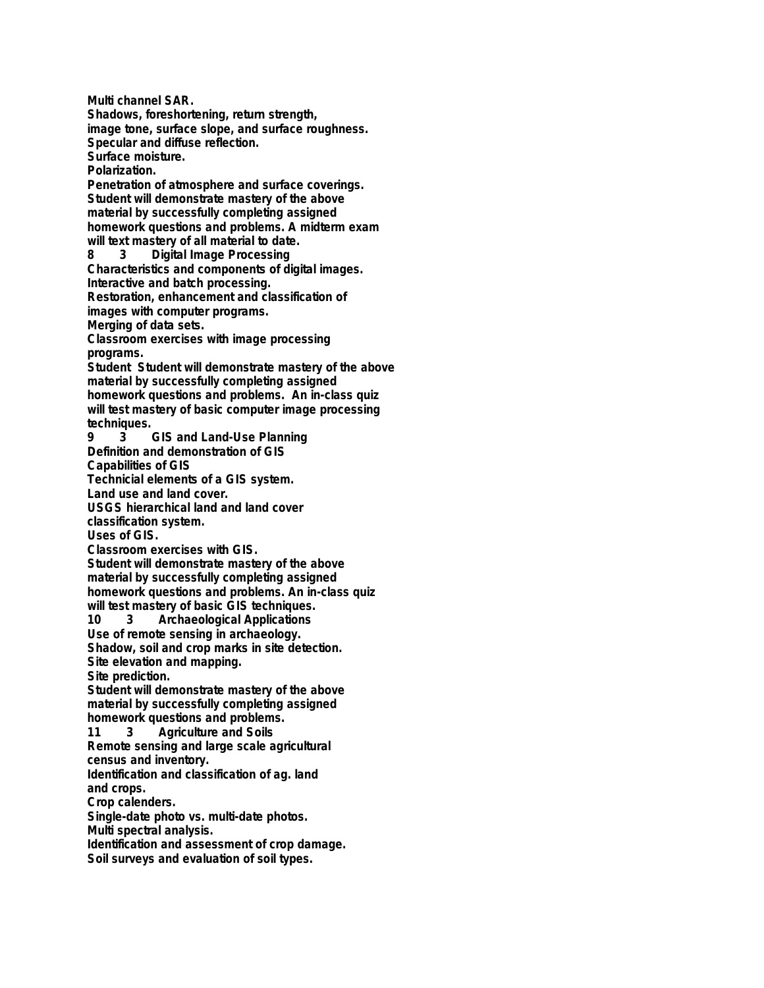**Multi channel SAR. Shadows, foreshortening, return strength, image tone, surface slope, and surface roughness. Specular and diffuse reflection. Surface moisture. Polarization. Penetration of atmosphere and surface coverings. Student will demonstrate mastery of the above material by successfully completing assigned homework questions and problems. A midterm exam will text mastery of all material to date. 8 3 Digital Image Processing Characteristics and components of digital images. Interactive and batch processing. Restoration, enhancement and classification of images with computer programs. Merging of data sets. Classroom exercises with image processing programs. Student Student will demonstrate mastery of the above material by successfully completing assigned homework questions and problems. An in-class quiz will test mastery of basic computer image processing techniques. 9 3 GIS and Land-Use Planning Definition and demonstration of GIS Capabilities of GIS Technicial elements of a GIS system. Land use and land cover. USGS hierarchical land and land cover classification system. Uses of GIS. Classroom exercises with GIS. Student will demonstrate mastery of the above material by successfully completing assigned homework questions and problems. An in-class quiz will test mastery of basic GIS techniques. 10 3 Archaeological Applications Use of remote sensing in archaeology. Shadow, soil and crop marks in site detection. Site elevation and mapping. Site prediction. Student will demonstrate mastery of the above material by successfully completing assigned homework questions and problems. 11 3 Agriculture and Soils Remote sensing and large scale agricultural census and inventory. Identification and classification of ag. land and crops. Crop calenders. Single-date photo vs. multi-date photos. Multi spectral analysis. Identification and assessment of crop damage. Soil surveys and evaluation of soil types.**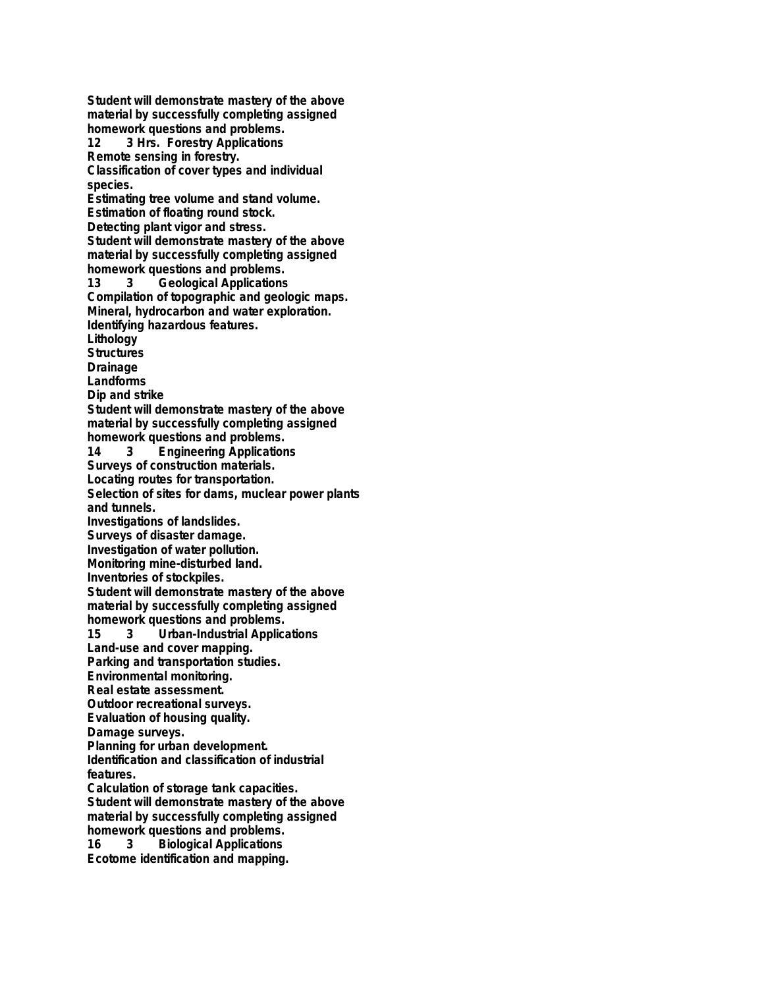**Student will demonstrate mastery of the above material by successfully completing assigned homework questions and problems. 12 3 Hrs. Forestry Applications Remote sensing in forestry. Classification of cover types and individual species. Estimating tree volume and stand volume. Estimation of floating round stock. Detecting plant vigor and stress. Student will demonstrate mastery of the above material by successfully completing assigned homework questions and problems. 13 3 Geological Applications Compilation of topographic and geologic maps. Mineral, hydrocarbon and water exploration. Identifying hazardous features. Lithology Structures Drainage Landforms Dip and strike Student will demonstrate mastery of the above material by successfully completing assigned homework questions and problems. Engineering Applications Surveys of construction materials. Locating routes for transportation. Selection of sites for dams, muclear power plants and tunnels. Investigations of landslides. Surveys of disaster damage. Investigation of water pollution. Monitoring mine-disturbed land. Inventories of stockpiles. Student will demonstrate mastery of the above material by successfully completing assigned homework questions and problems. 15 3 Urban-Industrial Applications Land-use and cover mapping. Parking and transportation studies. Environmental monitoring. Real estate assessment. Outdoor recreational surveys. Evaluation of housing quality. Damage surveys. Planning for urban development. Identification and classification of industrial features. Calculation of storage tank capacities. Student will demonstrate mastery of the above material by successfully completing assigned homework questions and problems. 16 3 Biological Applications Ecotome identification and mapping.**